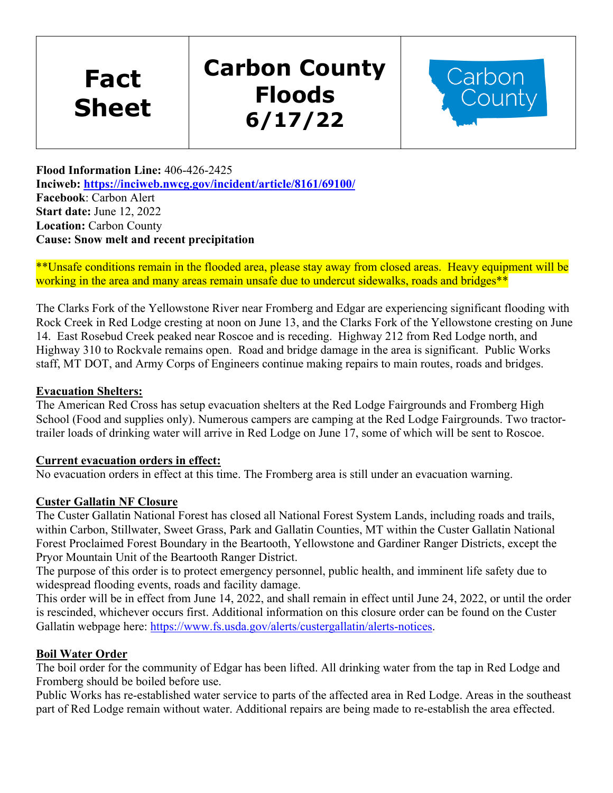**Fact Sheet** 

# **Carbon County Floods 6/17/22**



**Flood Information Line:** 406-426-2425 **Inciweb:<https://inciweb.nwcg.gov/incident/article/8161/69100/> Facebook**: Carbon Alert **Start date:** June 12, 2022 **Location:** Carbon County **Cause: Snow melt and recent precipitation**

\*\*Unsafe conditions remain in the flooded area, please stay away from closed areas. Heavy equipment will be working in the area and many areas remain unsafe due to undercut sidewalks, roads and bridges\*\*

The Clarks Fork of the Yellowstone River near Fromberg and Edgar are experiencing significant flooding with Rock Creek in Red Lodge cresting at noon on June 13, and the Clarks Fork of the Yellowstone cresting on June 14. East Rosebud Creek peaked near Roscoe and is receding. Highway 212 from Red Lodge north, and Highway 310 to Rockvale remains open. Road and bridge damage in the area is significant. Public Works staff, MT DOT, and Army Corps of Engineers continue making repairs to main routes, roads and bridges.

### **Evacuation Shelters:**

The American Red Cross has setup evacuation shelters at the Red Lodge Fairgrounds and Fromberg High School (Food and supplies only). Numerous campers are camping at the Red Lodge Fairgrounds. Two tractortrailer loads of drinking water will arrive in Red Lodge on June 17, some of which will be sent to Roscoe.

#### **Current evacuation orders in effect:**

No evacuation orders in effect at this time. The Fromberg area is still under an evacuation warning.

#### **Custer Gallatin NF Closure**

The Custer Gallatin National Forest has closed all National Forest System Lands, including roads and trails, within Carbon, Stillwater, Sweet Grass, Park and Gallatin Counties, MT within the Custer Gallatin National Forest Proclaimed Forest Boundary in the Beartooth, Yellowstone and Gardiner Ranger Districts, except the Pryor Mountain Unit of the Beartooth Ranger District.

The purpose of this order is to protect emergency personnel, public health, and imminent life safety due to widespread flooding events, roads and facility damage.

This order will be in effect from June 14, 2022, and shall remain in effect until June 24, 2022, or until the order is rescinded, whichever occurs first. Additional information on this closure order can be found on the Custer Gallatin webpage here: [https://www.fs.usda.gov/alerts/custergallatin/alerts-notices.](https://www.fs.usda.gov/alerts/custergallatin/alerts-notices)

#### **Boil Water Order**

The boil order for the community of Edgar has been lifted. All drinking water from the tap in Red Lodge and Fromberg should be boiled before use.

Public Works has re-established water service to parts of the affected area in Red Lodge. Areas in the southeast part of Red Lodge remain without water. Additional repairs are being made to re-establish the area effected.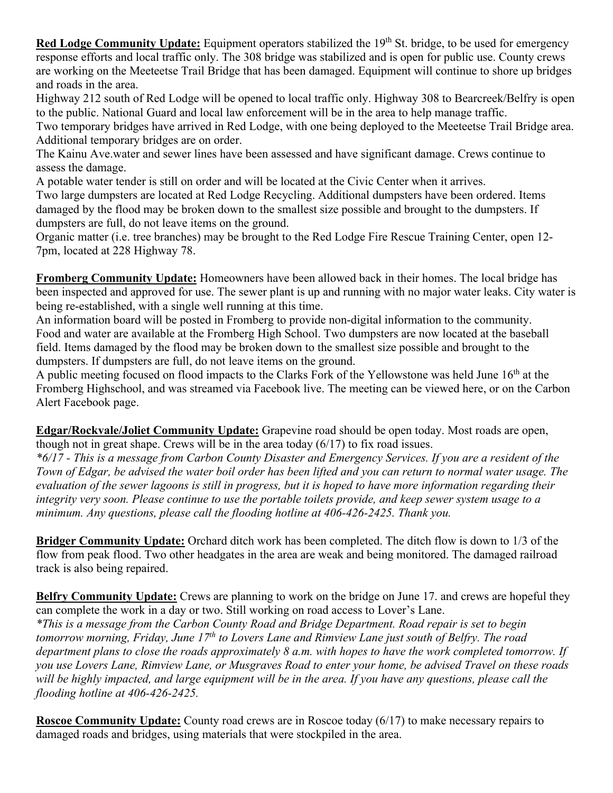**Red Lodge Community Update:** Equipment operators stabilized the 19<sup>th</sup> St. bridge, to be used for emergency response efforts and local traffic only. The 308 bridge was stabilized and is open for public use. County crews are working on the Meeteetse Trail Bridge that has been damaged. Equipment will continue to shore up bridges and roads in the area.

Highway 212 south of Red Lodge will be opened to local traffic only. Highway 308 to Bearcreek/Belfry is open to the public. National Guard and local law enforcement will be in the area to help manage traffic.

Two temporary bridges have arrived in Red Lodge, with one being deployed to the Meeteetse Trail Bridge area. Additional temporary bridges are on order.

The Kainu Ave.water and sewer lines have been assessed and have significant damage. Crews continue to assess the damage.

A potable water tender is still on order and will be located at the Civic Center when it arrives.

Two large dumpsters are located at Red Lodge Recycling. Additional dumpsters have been ordered. Items damaged by the flood may be broken down to the smallest size possible and brought to the dumpsters. If dumpsters are full, do not leave items on the ground.

Organic matter (i.e. tree branches) may be brought to the Red Lodge Fire Rescue Training Center, open 12- 7pm, located at 228 Highway 78.

**Fromberg Community Update:** Homeowners have been allowed back in their homes. The local bridge has been inspected and approved for use. The sewer plant is up and running with no major water leaks. City water is being re-established, with a single well running at this time.

An information board will be posted in Fromberg to provide non-digital information to the community. Food and water are available at the Fromberg High School. Two dumpsters are now located at the baseball field. Items damaged by the flood may be broken down to the smallest size possible and brought to the dumpsters. If dumpsters are full, do not leave items on the ground.

A public meeting focused on flood impacts to the Clarks Fork of the Yellowstone was held June 16<sup>th</sup> at the Fromberg Highschool, and was streamed via Facebook live. The meeting can be viewed here, or on the Carbon Alert Facebook page.

**Edgar/Rockvale/Joliet Community Update:** Grapevine road should be open today. Most roads are open, though not in great shape. Crews will be in the area today  $(6/17)$  to fix road issues.

*\*6/17 - This is a message from Carbon County Disaster and Emergency Services. If you are a resident of the Town of Edgar, be advised the water boil order has been lifted and you can return to normal water usage. The evaluation of the sewer lagoons is still in progress, but it is hoped to have more information regarding their integrity very soon. Please continue to use the portable toilets provide, and keep sewer system usage to a minimum. Any questions, please call the flooding hotline at 406-426-2425. Thank you.*

**Bridger Community Update:** Orchard ditch work has been completed. The ditch flow is down to 1/3 of the flow from peak flood. Two other headgates in the area are weak and being monitored. The damaged railroad track is also being repaired.

**Belfry Community Update:** Crews are planning to work on the bridge on June 17. and crews are hopeful they can complete the work in a day or two. Still working on road access to Lover's Lane. *\*This is a message from the Carbon County Road and Bridge Department. Road repair is set to begin tomorrow morning, Friday, June 17th to Lovers Lane and Rimview Lane just south of Belfry. The road department plans to close the roads approximately 8 a.m. with hopes to have the work completed tomorrow. If you use Lovers Lane, Rimview Lane, or Musgraves Road to enter your home, be advised Travel on these roads will be highly impacted, and large equipment will be in the area. If you have any questions, please call the flooding hotline at 406-426-2425.*

**Roscoe Community Update:** County road crews are in Roscoe today (6/17) to make necessary repairs to damaged roads and bridges, using materials that were stockpiled in the area.